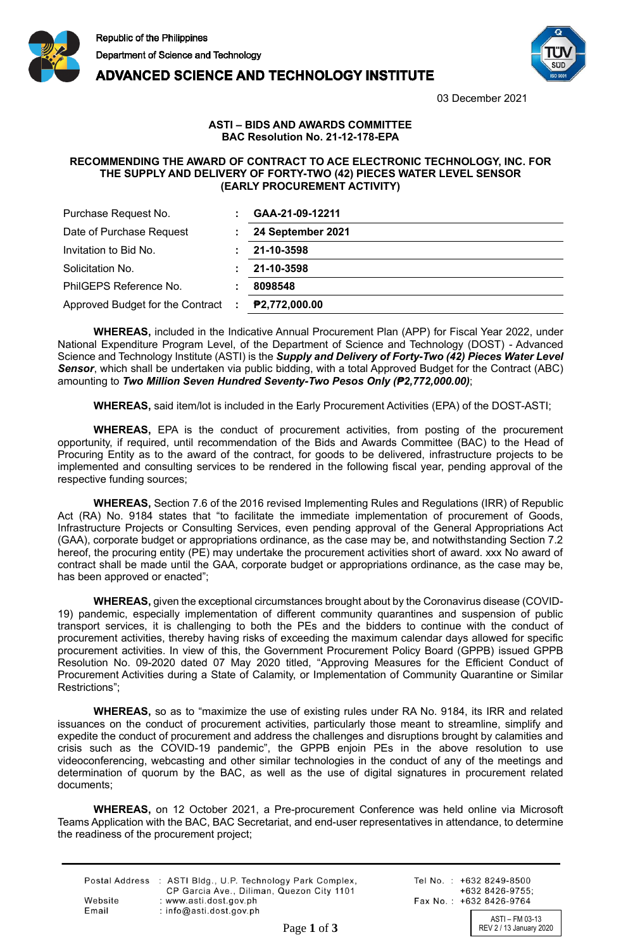

**ADVANCED SCIENCE AND TECHNOLOGY INSTITUTE** 



03 December 2021

## **ASTI – BIDS AND AWARDS COMMITTEE BAC Resolution No. 21-12-178-EPA**

## **RECOMMENDING THE AWARD OF CONTRACT TO ACE ELECTRONIC TECHNOLOGY, INC. FOR THE SUPPLY AND DELIVERY OF FORTY-TWO (42) PIECES WATER LEVEL SENSOR (EARLY PROCUREMENT ACTIVITY)**

| Purchase Request No.               | GAA-21-09-12211   |
|------------------------------------|-------------------|
| Date of Purchase Request           | 24 September 2021 |
| Invitation to Bid No.              | 21-10-3598        |
| Solicitation No.                   | 21-10-3598        |
| PhilGEPS Reference No.             | 8098548           |
| Approved Budget for the Contract : | P2,772,000.00     |

**WHEREAS,** included in the Indicative Annual Procurement Plan (APP) for Fiscal Year 2022, under National Expenditure Program Level, of the Department of Science and Technology (DOST) - Advanced Science and Technology Institute (ASTI) is the *Supply and Delivery of Forty-Two (42) Pieces Water Level Sensor*, which shall be undertaken via public bidding, with a total Approved Budget for the Contract (ABC) amounting to *Two Million Seven Hundred Seventy-Two Pesos Only (₱2,772,000.00)*;

**WHEREAS,** said item/lot is included in the Early Procurement Activities (EPA) of the DOST-ASTI;

**WHEREAS,** EPA is the conduct of procurement activities, from posting of the procurement opportunity, if required, until recommendation of the Bids and Awards Committee (BAC) to the Head of Procuring Entity as to the award of the contract, for goods to be delivered, infrastructure projects to be implemented and consulting services to be rendered in the following fiscal year, pending approval of the respective funding sources;

**WHEREAS,** Section 7.6 of the 2016 revised Implementing Rules and Regulations (IRR) of Republic Act (RA) No. 9184 states that "to facilitate the immediate implementation of procurement of Goods, Infrastructure Projects or Consulting Services, even pending approval of the General Appropriations Act (GAA), corporate budget or appropriations ordinance, as the case may be, and notwithstanding Section 7.2 hereof, the procuring entity (PE) may undertake the procurement activities short of award. xxx No award of contract shall be made until the GAA, corporate budget or appropriations ordinance, as the case may be, has been approved or enacted";

**WHEREAS,** given the exceptional circumstances brought about by the Coronavirus disease (COVID-19) pandemic, especially implementation of different community quarantines and suspension of public transport services, it is challenging to both the PEs and the bidders to continue with the conduct of procurement activities, thereby having risks of exceeding the maximum calendar days allowed for specific procurement activities. In view of this, the Government Procurement Policy Board (GPPB) issued GPPB Resolution No. 09-2020 dated 07 May 2020 titled, "Approving Measures for the Efficient Conduct of Procurement Activities during a State of Calamity, or Implementation of Community Quarantine or Similar Restrictions";

**WHEREAS,** so as to "maximize the use of existing rules under RA No. 9184, its IRR and related issuances on the conduct of procurement activities, particularly those meant to streamline, simplify and expedite the conduct of procurement and address the challenges and disruptions brought by calamities and crisis such as the COVID-19 pandemic", the GPPB enjoin PEs in the above resolution to use videoconferencing, webcasting and other similar technologies in the conduct of any of the meetings and determination of quorum by the BAC, as well as the use of digital signatures in procurement related documents;

**WHEREAS,** on 12 October 2021, a Pre-procurement Conference was held online via Microsoft Teams Application with the BAC, BAC Secretariat, and end-user representatives in attendance, to determine the readiness of the procurement project;

|         | Postal Address : ASTI Bldg., U.P. Technology Park Complex,<br>CP Garcia Ave., Diliman, Quezon City 1101 |
|---------|---------------------------------------------------------------------------------------------------------|
| Website | : www.asti.dost.gov.ph                                                                                  |
| Email   | $:$ info@asti.dost.gov.ph                                                                               |

Tel No.: +632 8249-8500  $+6328426-9755$ Fax No.: +632 8426-9764

ASTI – FM 03-13 Page 1 of 3 REV 2 / 13 January 2020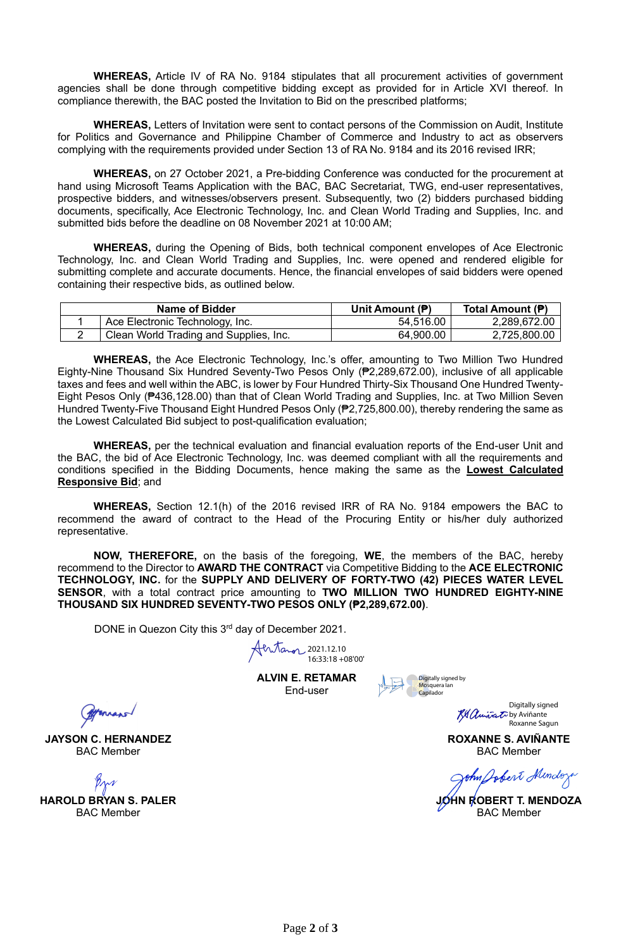**WHEREAS,** Article IV of RA No. 9184 stipulates that all procurement activities of government agencies shall be done through competitive bidding except as provided for in Article XVI thereof. In compliance therewith, the BAC posted the Invitation to Bid on the prescribed platforms;

**WHEREAS,** Letters of Invitation were sent to contact persons of the Commission on Audit, Institute for Politics and Governance and Philippine Chamber of Commerce and Industry to act as observers complying with the requirements provided under Section 13 of RA No. 9184 and its 2016 revised IRR;

**WHEREAS,** on 27 October 2021, a Pre-bidding Conference was conducted for the procurement at hand using Microsoft Teams Application with the BAC, BAC Secretariat, TWG, end-user representatives, prospective bidders, and witnesses/observers present. Subsequently, two (2) bidders purchased bidding documents, specifically, Ace Electronic Technology, Inc. and Clean World Trading and Supplies, Inc. and submitted bids before the deadline on 08 November 2021 at 10:00 AM;

**WHEREAS,** during the Opening of Bids, both technical component envelopes of Ace Electronic Technology, Inc. and Clean World Trading and Supplies, Inc. were opened and rendered eligible for submitting complete and accurate documents. Hence, the financial envelopes of said bidders were opened containing their respective bids, as outlined below.

| Name of Bidder |                                        | Unit Amount (P) | Total Amount (P) |
|----------------|----------------------------------------|-----------------|------------------|
|                | Ace Electronic Technology, Inc.        | 54,516.00       | 2,289,672.00     |
|                | Clean World Trading and Supplies, Inc. | 64,900.00       | 2,725,800.00     |

**WHEREAS,** the Ace Electronic Technology, Inc.'s offer, amounting to Two Million Two Hundred Eighty-Nine Thousand Six Hundred Seventy-Two Pesos Only (₱2,289,672.00), inclusive of all applicable taxes and fees and well within the ABC, is lower by Four Hundred Thirty-Six Thousand One Hundred Twenty-Eight Pesos Only (₱436,128.00) than that of Clean World Trading and Supplies, Inc. at Two Million Seven Hundred Twenty-Five Thousand Eight Hundred Pesos Only (₱2,725,800.00), thereby rendering the same as the Lowest Calculated Bid subject to post-qualification evaluation;

**WHEREAS,** per the technical evaluation and financial evaluation reports of the End-user Unit and the BAC, the bid of Ace Electronic Technology, Inc. was deemed compliant with all the requirements and conditions specified in the Bidding Documents, hence making the same as the **Lowest Calculated Responsive Bid**; and

**WHEREAS,** Section 12.1(h) of the 2016 revised IRR of RA No. 9184 empowers the BAC to recommend the award of contract to the Head of the Procuring Entity or his/her duly authorized representative.

**NOW, THEREFORE,** on the basis of the foregoing, **WE**, the members of the BAC, hereby recommend to the Director to **AWARD THE CONTRACT** via Competitive Bidding to the **ACE ELECTRONIC TECHNOLOGY, INC.** for the **SUPPLY AND DELIVERY OF FORTY-TWO (42) PIECES WATER LEVEL SENSOR**, with a total contract price amounting to **TWO MILLION TWO HUNDRED EIGHTY-NINE THOUSAND SIX HUNDRED SEVENTY-TWO PESOS ONLY (₱2,289,672.00)**.

DONE in Quezon City this 3<sup>rd</sup> day of December 2021.

2021.12.10 16:33:18 +08'00'

**ALVIN E. RETAMAR** End-user

Digitally signed by<br><mark>M</mark>osquera Ian<br>Capilador

Digitally signed **By Anivat** by Aviñante Roxanne Sagun

**ROXANNE S. AVIÑANTE** BAC Member

John Jobert Mindox

**JOHN ROBERT T. MENDOZA** BAC Member

formano

**JAYSON C. HERNANDEZ** BAC Member

**HAROLD BRYAN S. PALER** BAC Member